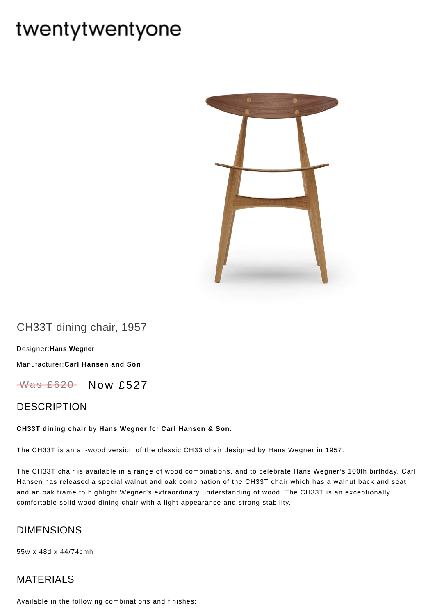# twentytwentyone



## CH33T dining chair, 1957

[Designer:](https://www.twentytwentyone.com/collections/designers-hans-wegner)**Hans Wegner** [Manufacturer:](https://www.twentytwentyone.com/collections/manufacturers-carl-hansen-and-son)**Carl Hansen and Son**

 $W$ as £620 Now £527

## DESCRIPTION

#### **CH33T dining chair** by **Hans [Wegner](http://twentytwentyone.com/designer/hans-wegner)** for **Carl [Hansen](http://twentytwentyone.com/manufacturer/carl-hansen-son) & Son**.

The CH33T is an all-wood version of the classic CH33 chair designed by Hans Wegner in 1957.

The CH33T chair is available in a range of wood combinations, and to celebrate Hans Wegner's 100th birthday, Carl Hansen has released a special walnut and oak combination of the CH33T chair which has a walnut back and seat and an oak frame to highlight Wegner's extraordinary understanding of wood. The CH33T is an exceptionally comfortable solid wood dining chair with a light appearance and strong stability.

### DIMENSIONS

55w x 48d x 44/74cmh

## MATERIALS

Available in the following combinations and finishes;